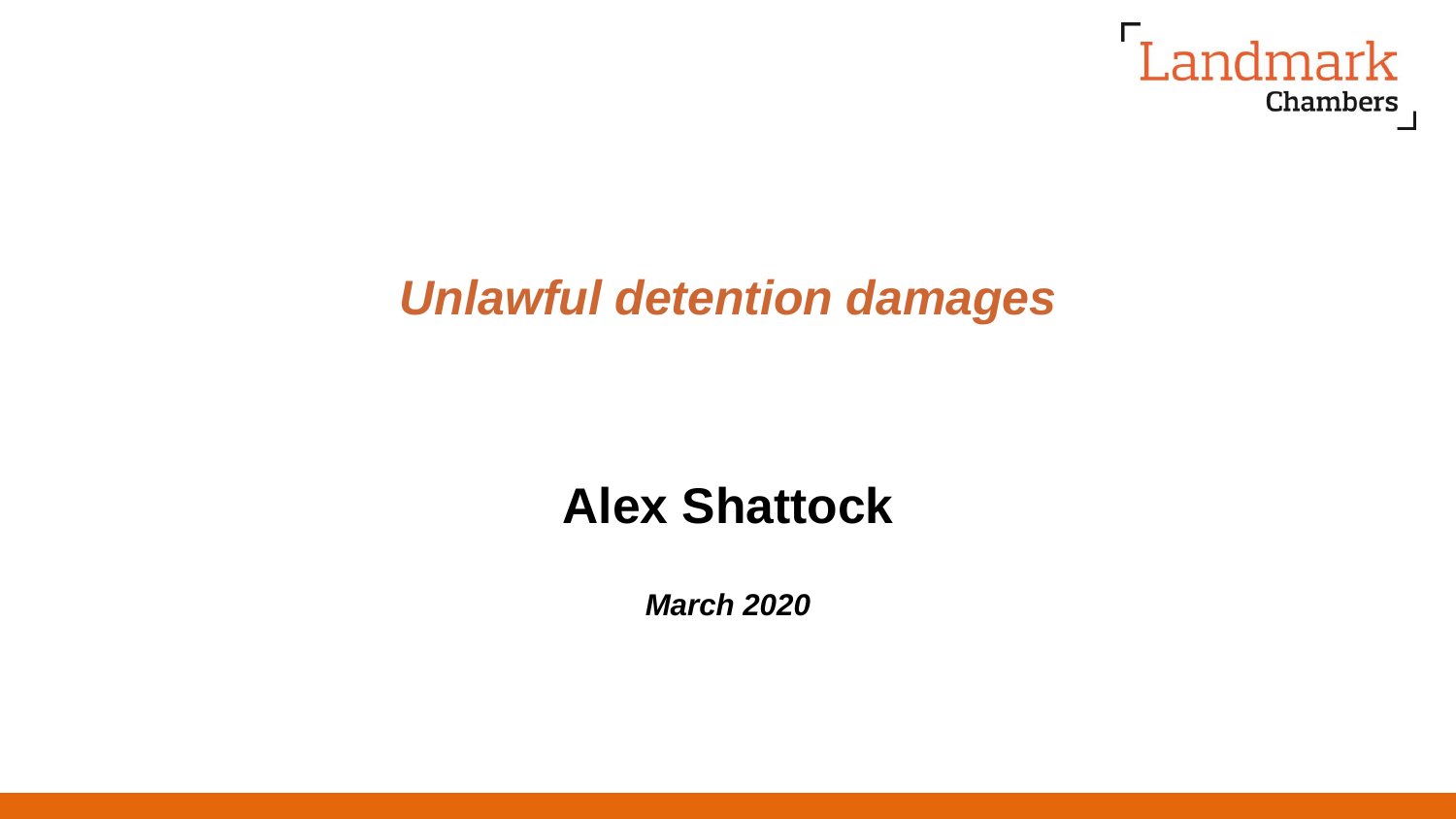

# *Unlawful detention damages*

# **Alex Shattock**

*March 2020*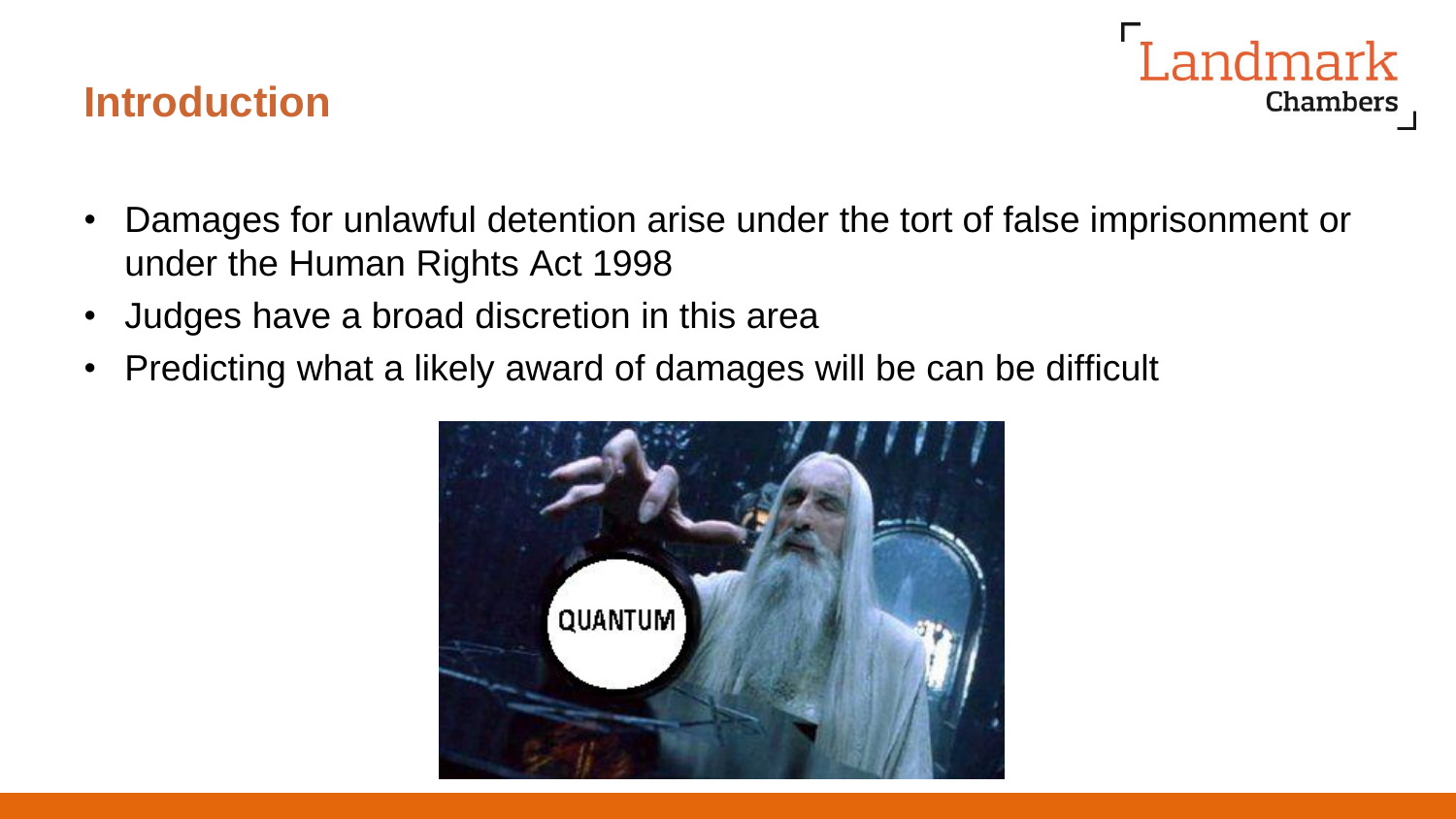## **Introduction**



- Damages for unlawful detention arise under the tort of false imprisonment or under the Human Rights Act 1998
- Judges have a broad discretion in this area
- Predicting what a likely award of damages will be can be difficult

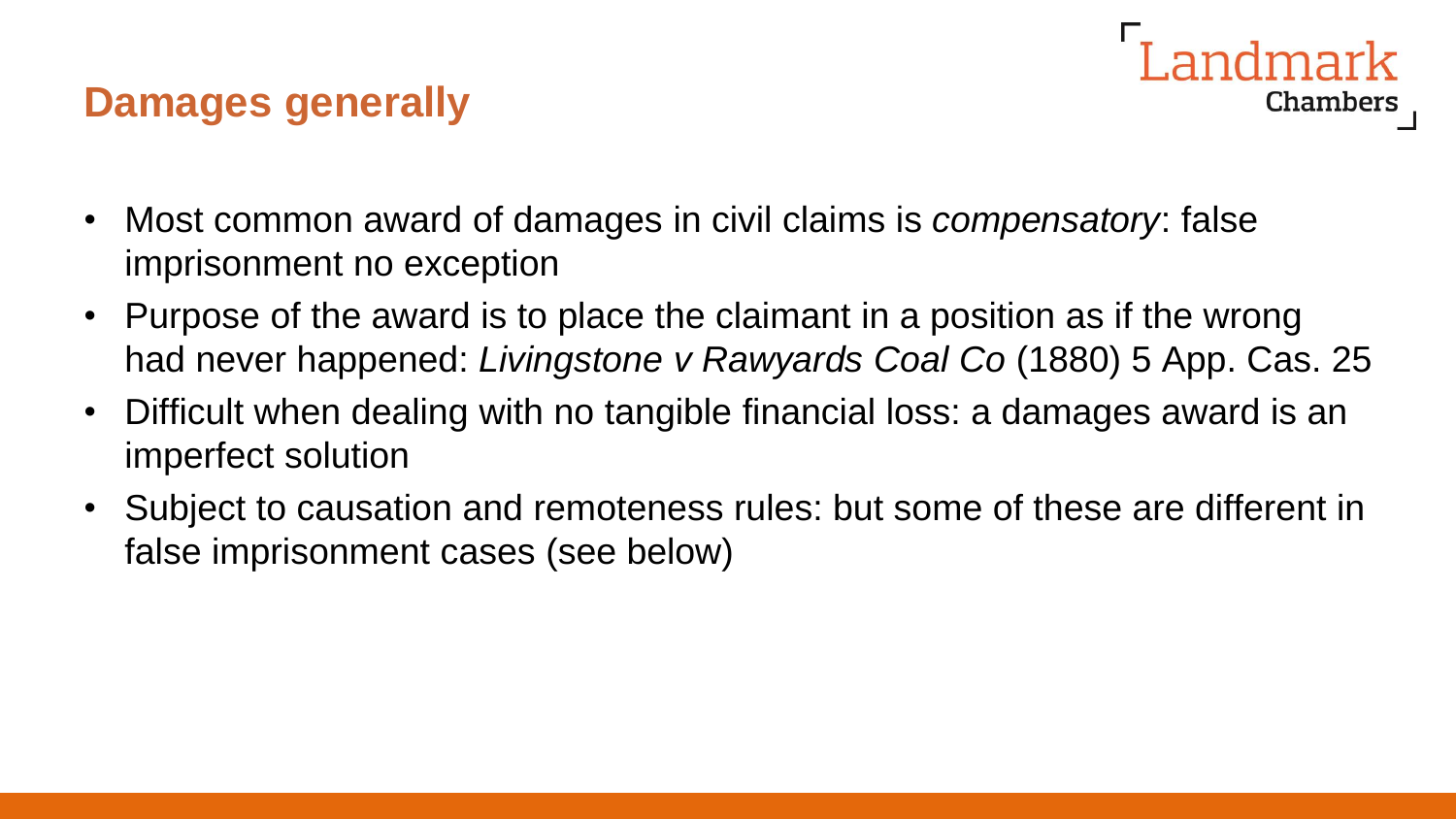## **Damages generally**



- Most common award of damages in civil claims is *compensatory*: false imprisonment no exception
- Purpose of the award is to place the claimant in a position as if the wrong had never happened: *Livingstone v Rawyards Coal Co* (1880) 5 App. Cas. 25
- Difficult when dealing with no tangible financial loss: a damages award is an imperfect solution
- Subject to causation and remoteness rules: but some of these are different in false imprisonment cases (see below)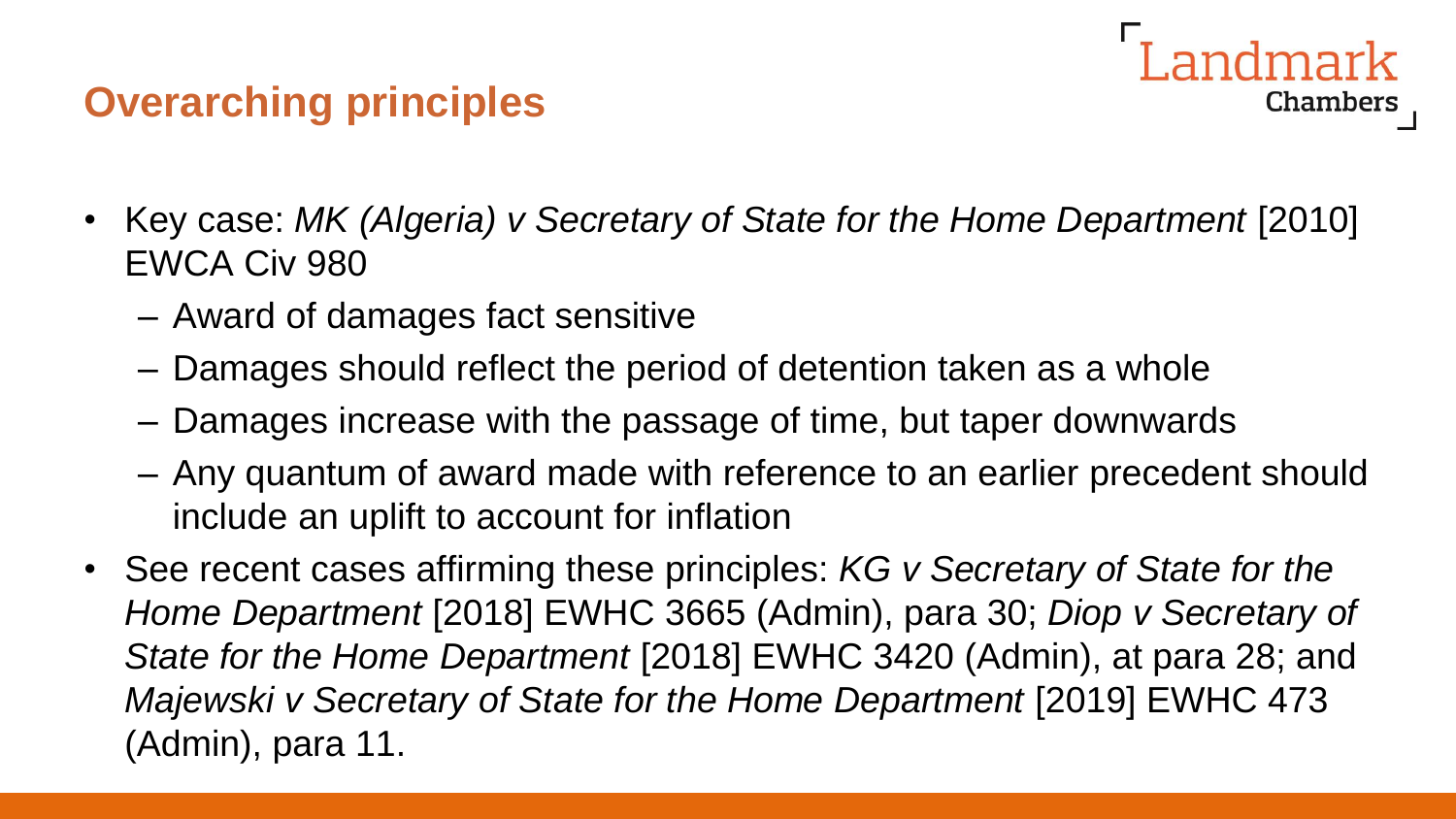## **Overarching principles**



- Key case: *MK (Algeria) v Secretary of State for the Home Department* [2010] EWCA Civ 980
	- Award of damages fact sensitive
	- Damages should reflect the period of detention taken as a whole
	- Damages increase with the passage of time, but taper downwards
	- Any quantum of award made with reference to an earlier precedent should include an uplift to account for inflation
- See recent cases affirming these principles: *KG v Secretary of State for the Home Department* [2018] EWHC 3665 (Admin), para 30; *Diop v Secretary of State for the Home Department* [2018] EWHC 3420 (Admin), at para 28; and *Majewski v Secretary of State for the Home Department* [2019] EWHC 473 (Admin), para 11.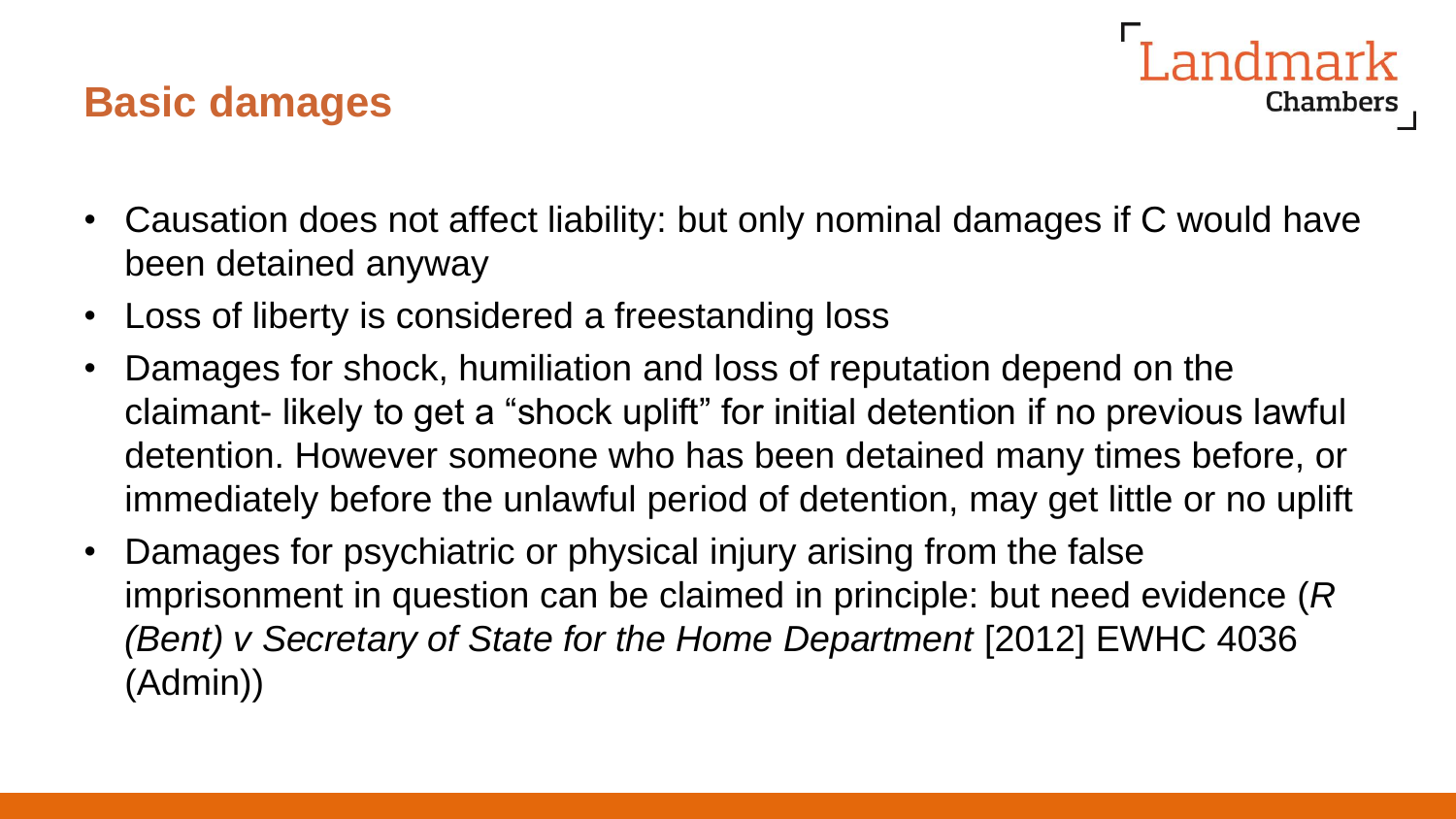## **Basic damages**

- **Chambers**
- Causation does not affect liability: but only nominal damages if C would have been detained anyway
- Loss of liberty is considered a freestanding loss
- Damages for shock, humiliation and loss of reputation depend on the claimant- likely to get a "shock uplift" for initial detention if no previous lawful detention. However someone who has been detained many times before, or immediately before the unlawful period of detention, may get little or no uplift
- Damages for psychiatric or physical injury arising from the false imprisonment in question can be claimed in principle: but need evidence (*R (Bent) v Secretary of State for the Home Department* [2012] EWHC 4036 (Admin))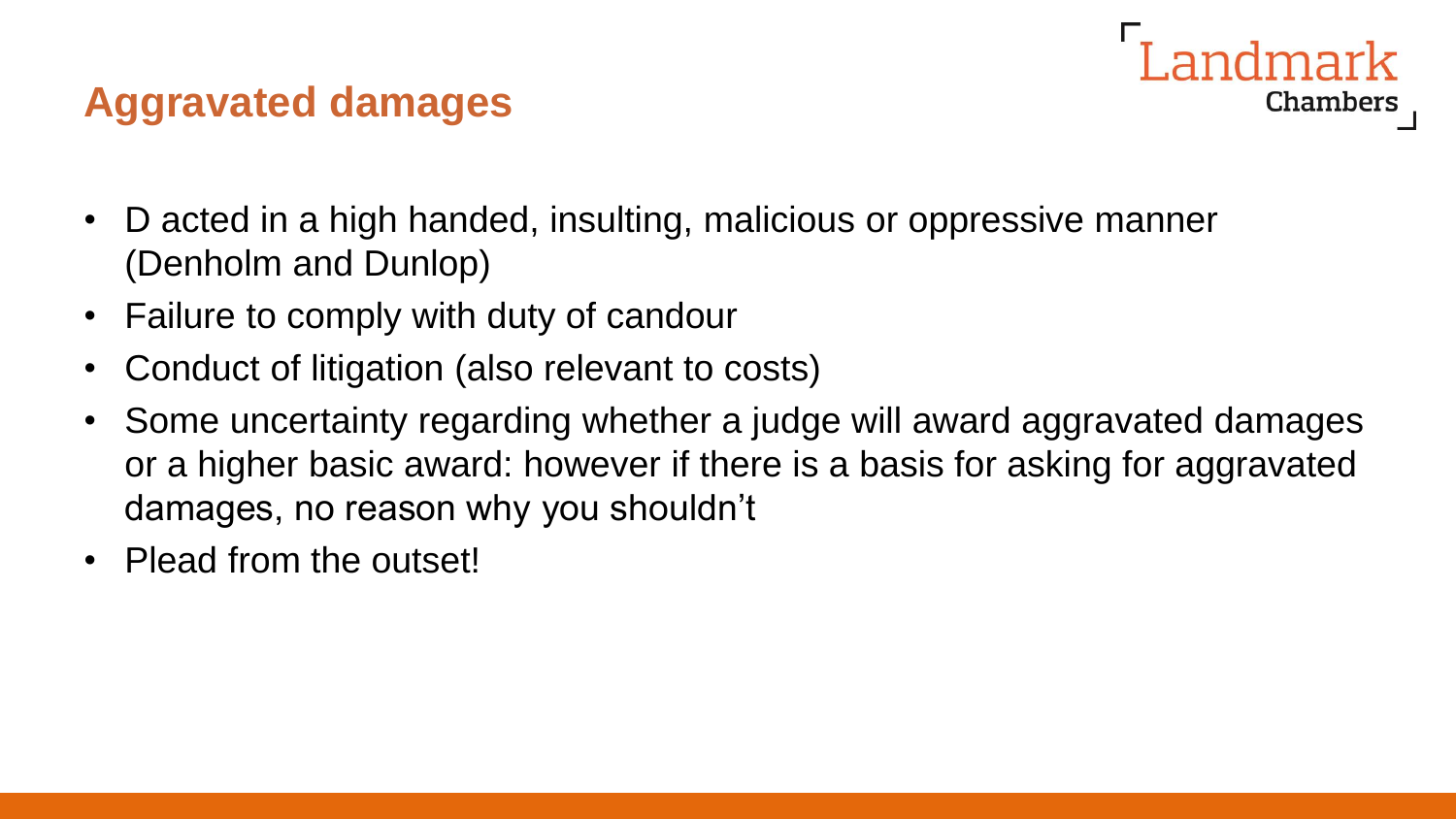## **Aggravated damages**

- D acted in a high handed, insulting, malicious or oppressive manner (Denholm and Dunlop)
- Failure to comply with duty of candour
- Conduct of litigation (also relevant to costs)
- Some uncertainty regarding whether a judge will award aggravated damages or a higher basic award: however if there is a basis for asking for aggravated damages, no reason why you shouldn't

Chambers

• Plead from the outset!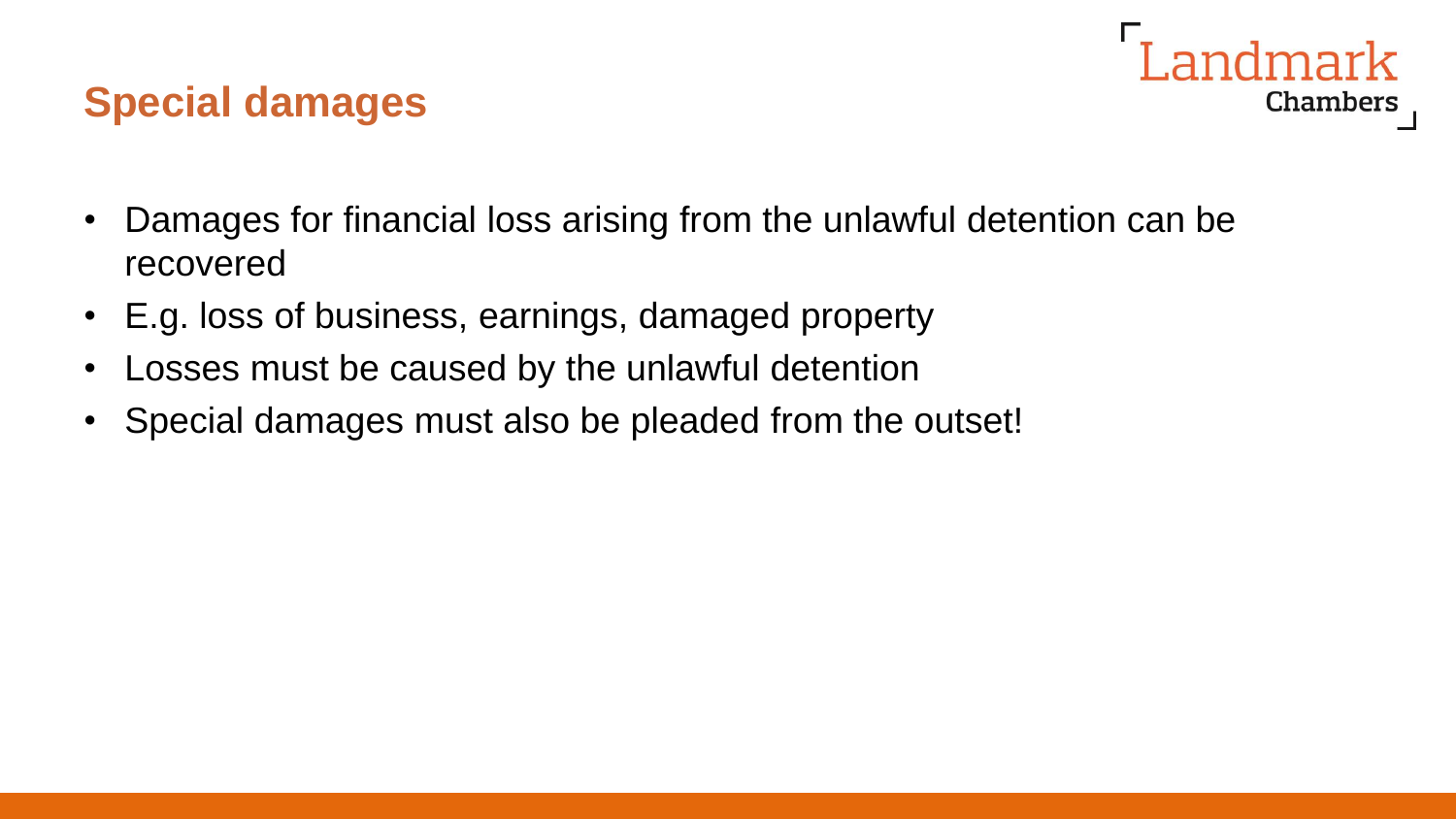## **Special damages**



- Damages for financial loss arising from the unlawful detention can be recovered
- E.g. loss of business, earnings, damaged property
- Losses must be caused by the unlawful detention
- Special damages must also be pleaded from the outset!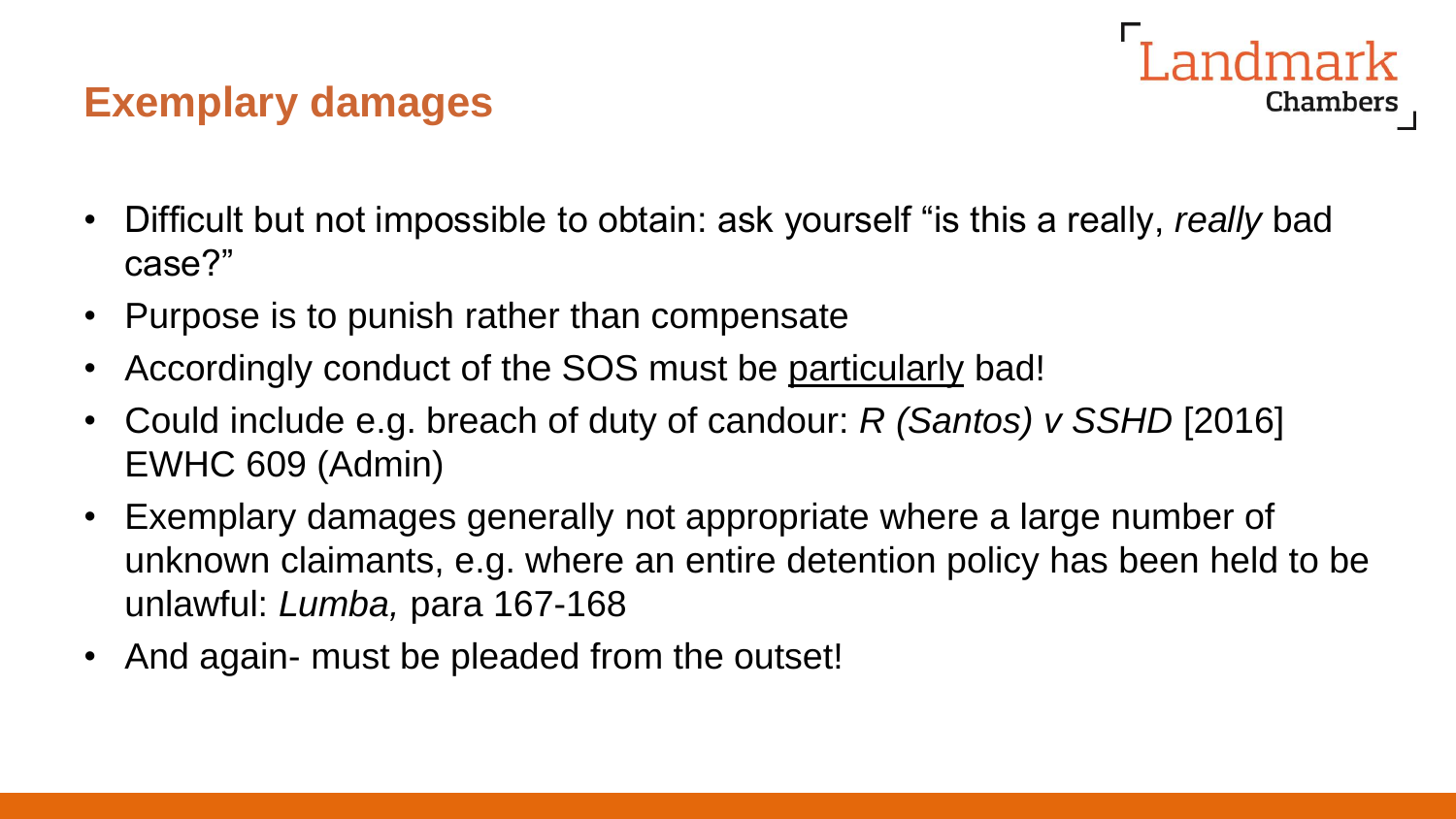## **Exemplary damages**

- Chambers
- Difficult but not impossible to obtain: ask yourself "is this a really, *really* bad case?"
- Purpose is to punish rather than compensate
- Accordingly conduct of the SOS must be particularly bad!
- Could include e.g. breach of duty of candour: *R (Santos) v SSHD* [2016] EWHC 609 (Admin)
- Exemplary damages generally not appropriate where a large number of unknown claimants, e.g. where an entire detention policy has been held to be unlawful: *Lumba,* para 167-168
- And again- must be pleaded from the outset!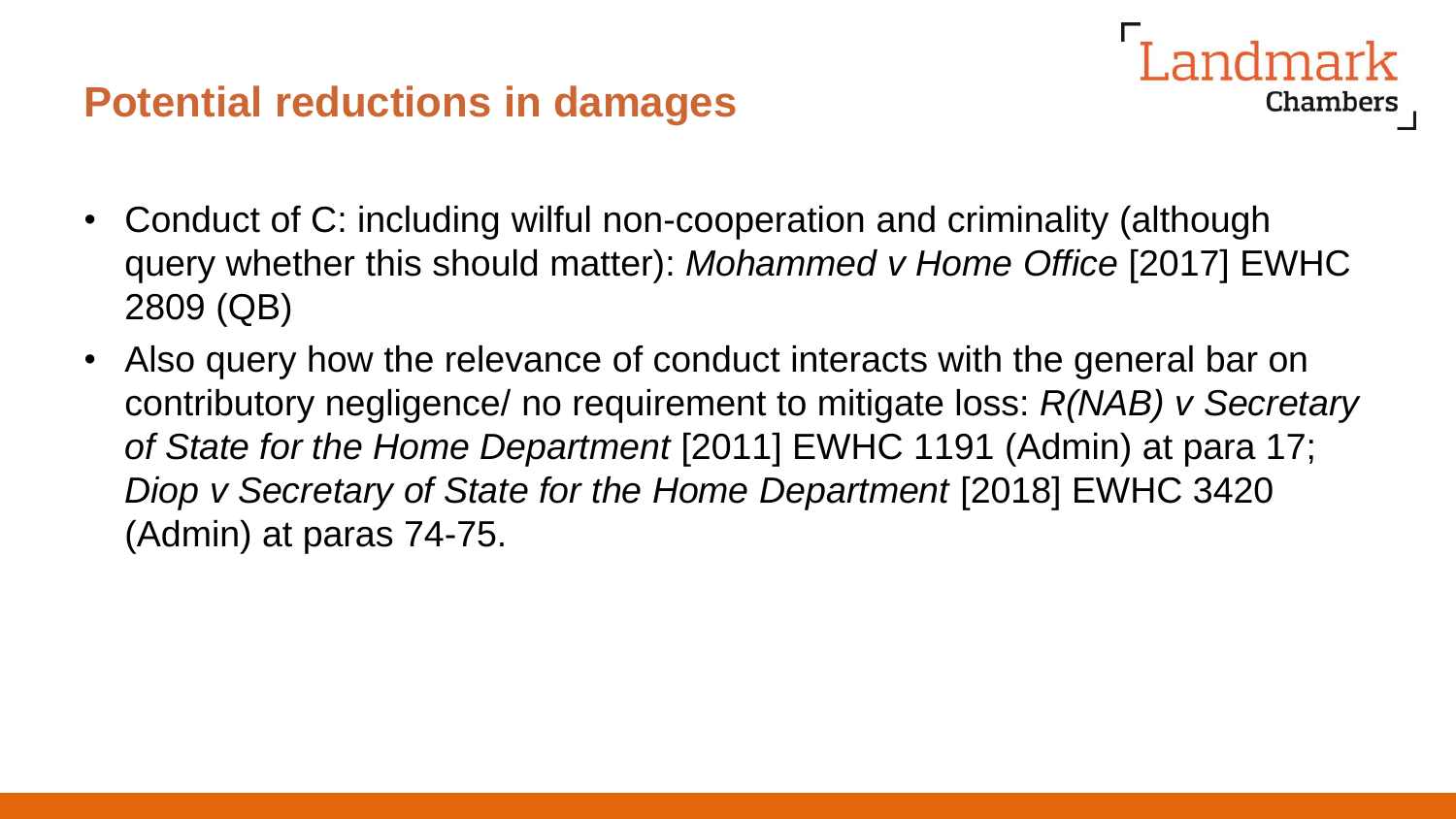## **Potential reductions in damages**

• Conduct of C: including wilful non-cooperation and criminality (although query whether this should matter): *Mohammed v Home Office* [2017] EWHC 2809 (QB)

**Chambers** 

• Also query how the relevance of conduct interacts with the general bar on contributory negligence/ no requirement to mitigate loss: *R(NAB) v Secretary of State for the Home Department* [2011] EWHC 1191 (Admin) at para 17; *Diop v Secretary of State for the Home Department* [2018] EWHC 3420 (Admin) at paras 74-75.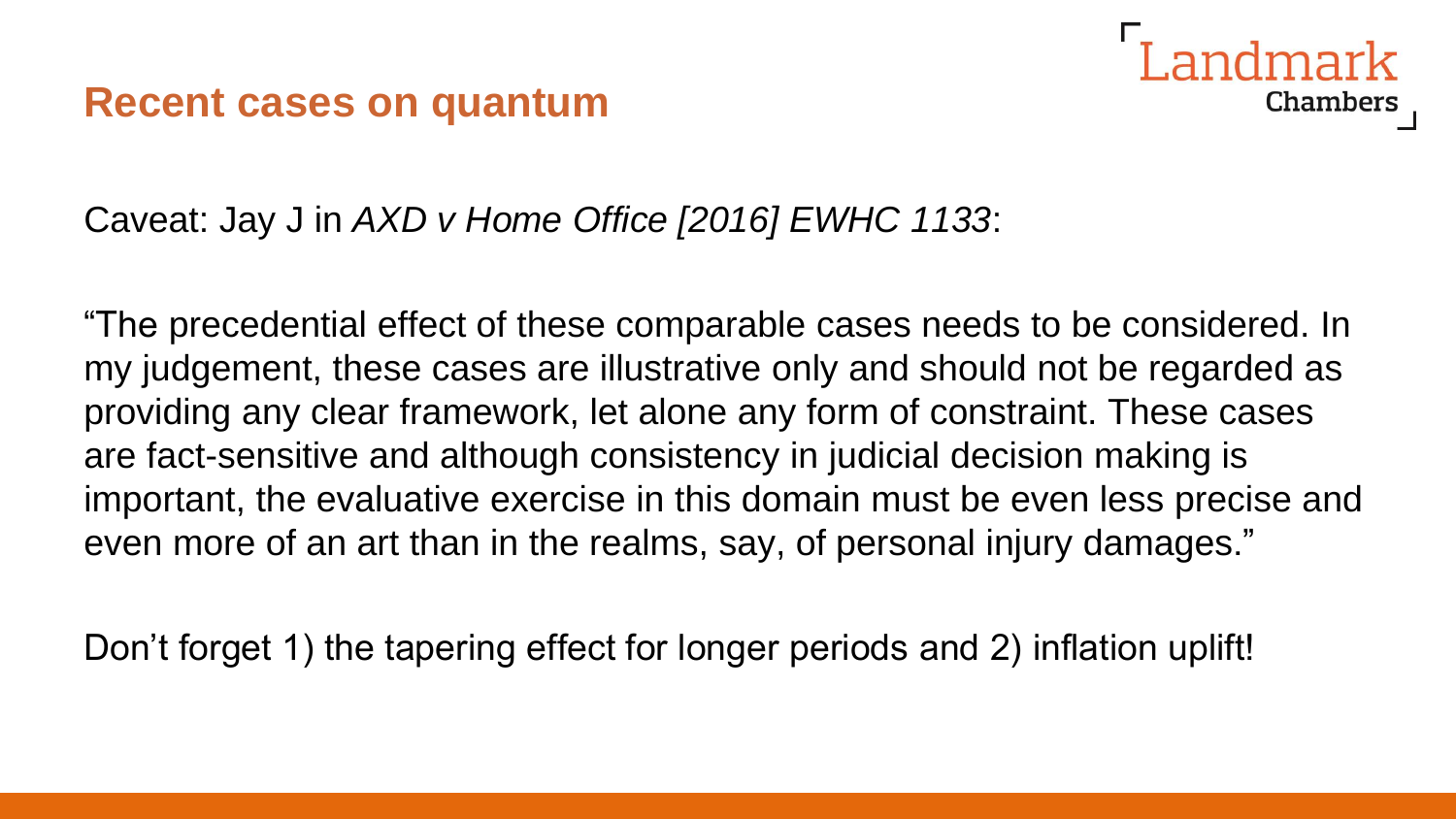

Caveat: Jay J in *AXD v Home Office [2016] EWHC 1133*:

"The precedential effect of these comparable cases needs to be considered. In my judgement, these cases are illustrative only and should not be regarded as providing any clear framework, let alone any form of constraint. These cases are fact-sensitive and although consistency in judicial decision making is important, the evaluative exercise in this domain must be even less precise and even more of an art than in the realms, say, of personal injury damages."

Don't forget 1) the tapering effect for longer periods and 2) inflation uplift!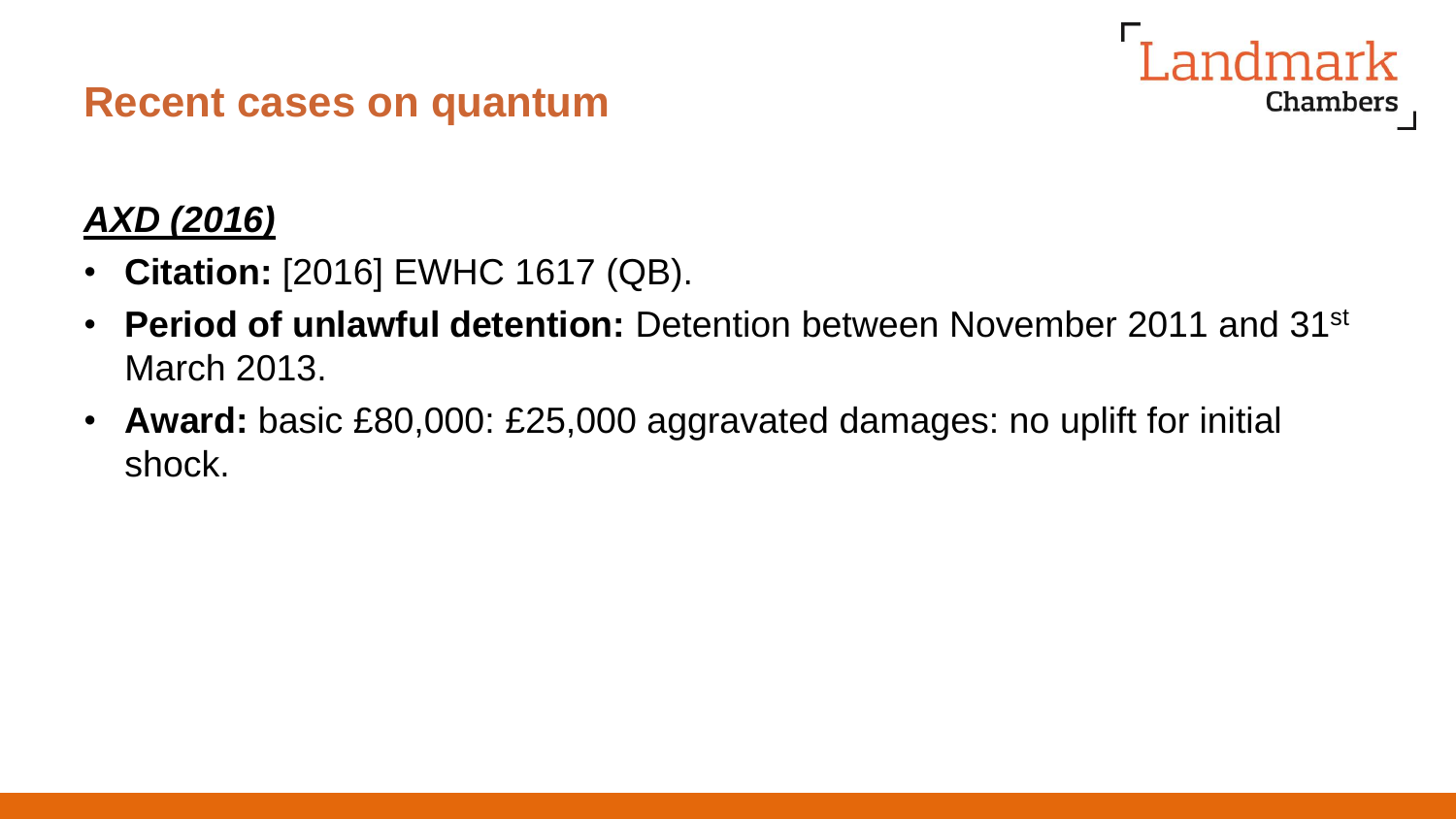

## *AXD (2016)*

- **Citation:** [2016] EWHC 1617 (QB).
- **Period of unlawful detention:** Detention between November 2011 and 31st March 2013.
- **Award:** basic £80,000: £25,000 aggravated damages: no uplift for initial shock.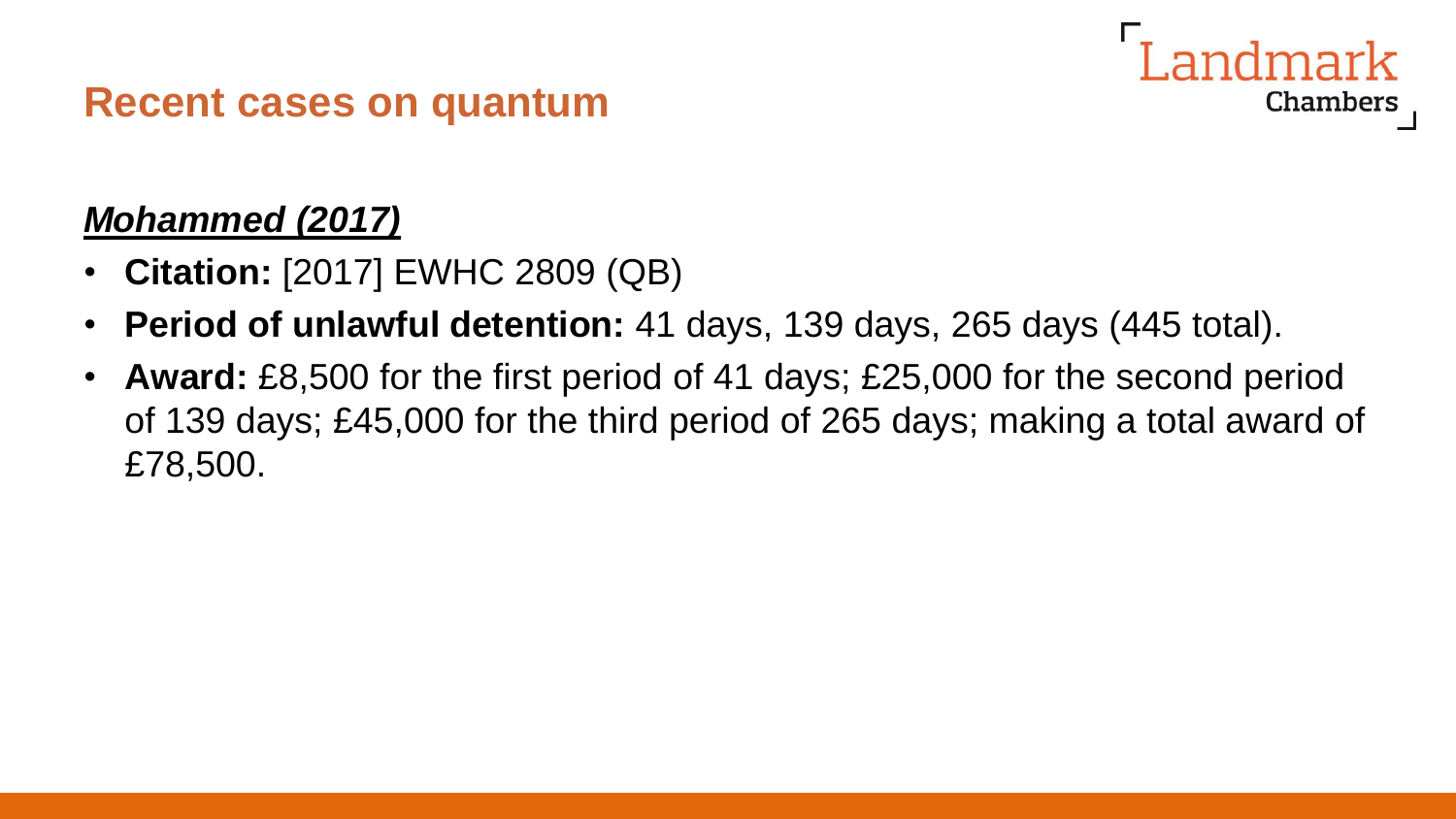## *Mohammed (2017)*

- **Citation:** [2017] EWHC 2809 (QB)
- **Period of unlawful detention:** 41 days, 139 days, 265 days (445 total).
- **Award:** £8,500 for the first period of 41 days; £25,000 for the second period of 139 days; £45,000 for the third period of 265 days; making a total award of £78,500.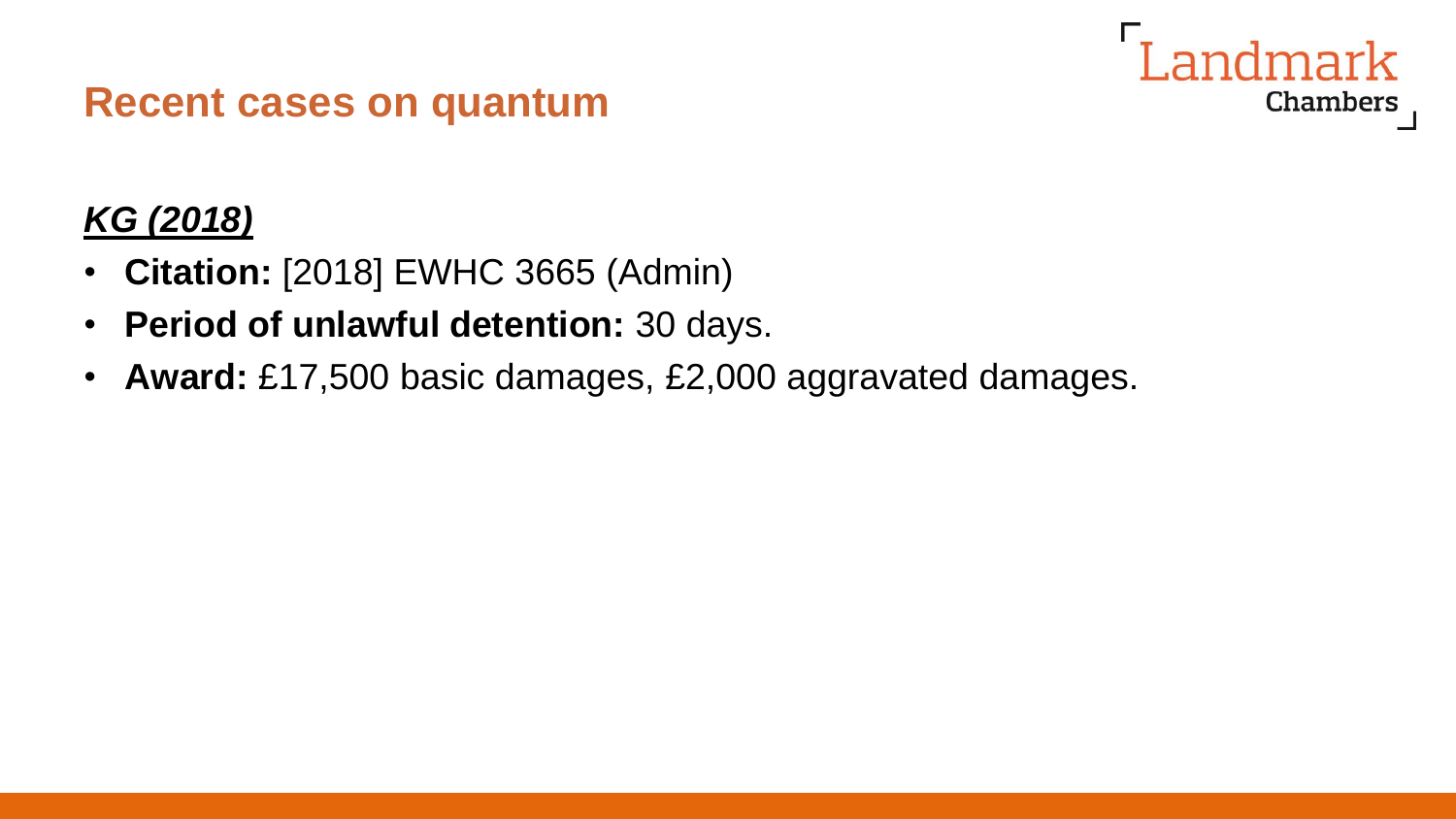## *KG (2018)*

- **Citation:** [2018] EWHC 3665 (Admin)
- **Period of unlawful detention:** 30 days.
- **Award:** £17,500 basic damages, £2,000 aggravated damages.

andmark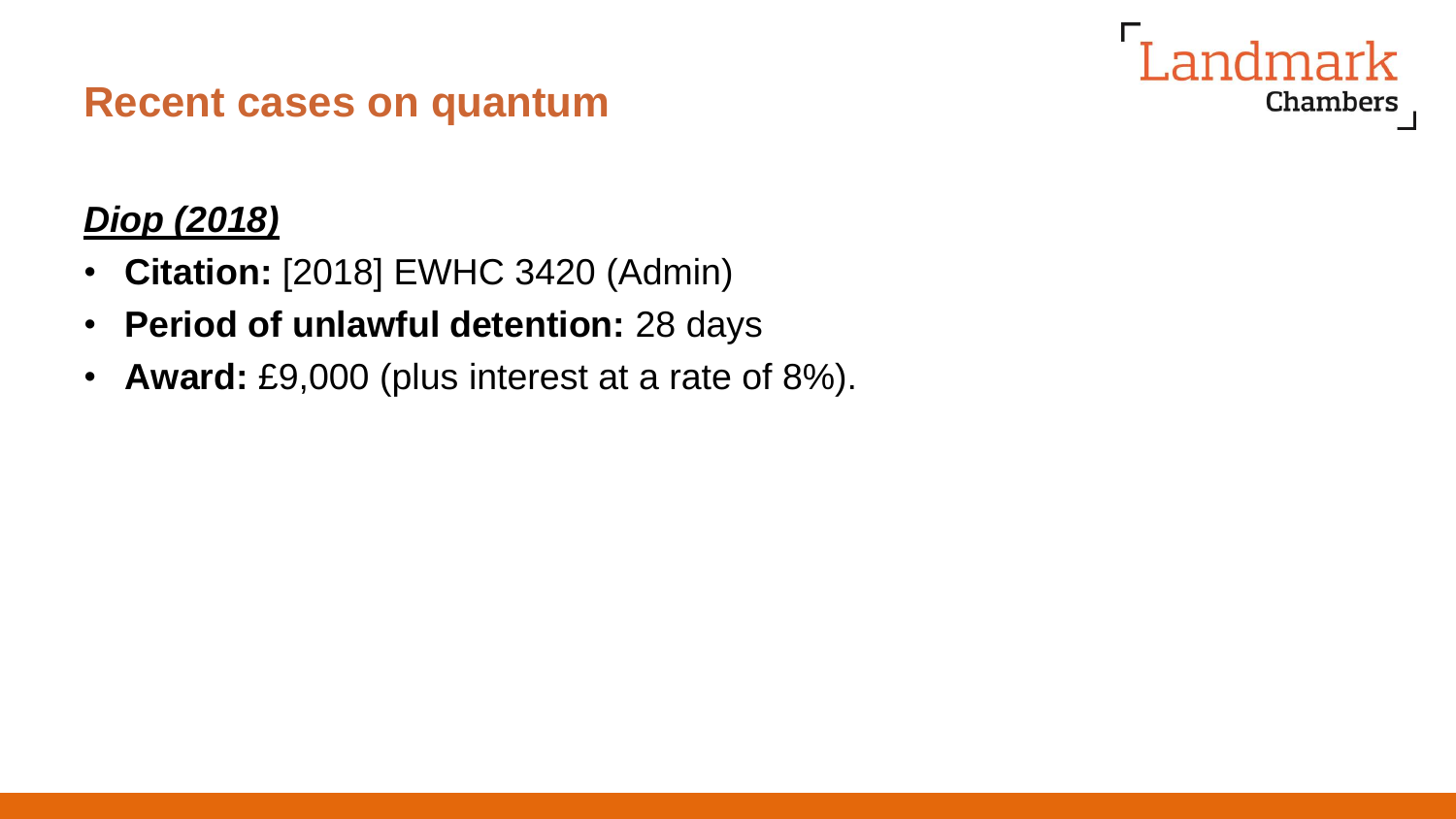## andmark **Chambers**

## **Recent cases on quantum**

## *Diop (2018)*

- **Citation:** [2018] EWHC 3420 (Admin)
- **Period of unlawful detention:** 28 days
- **Award:** £9,000 (plus interest at a rate of 8%).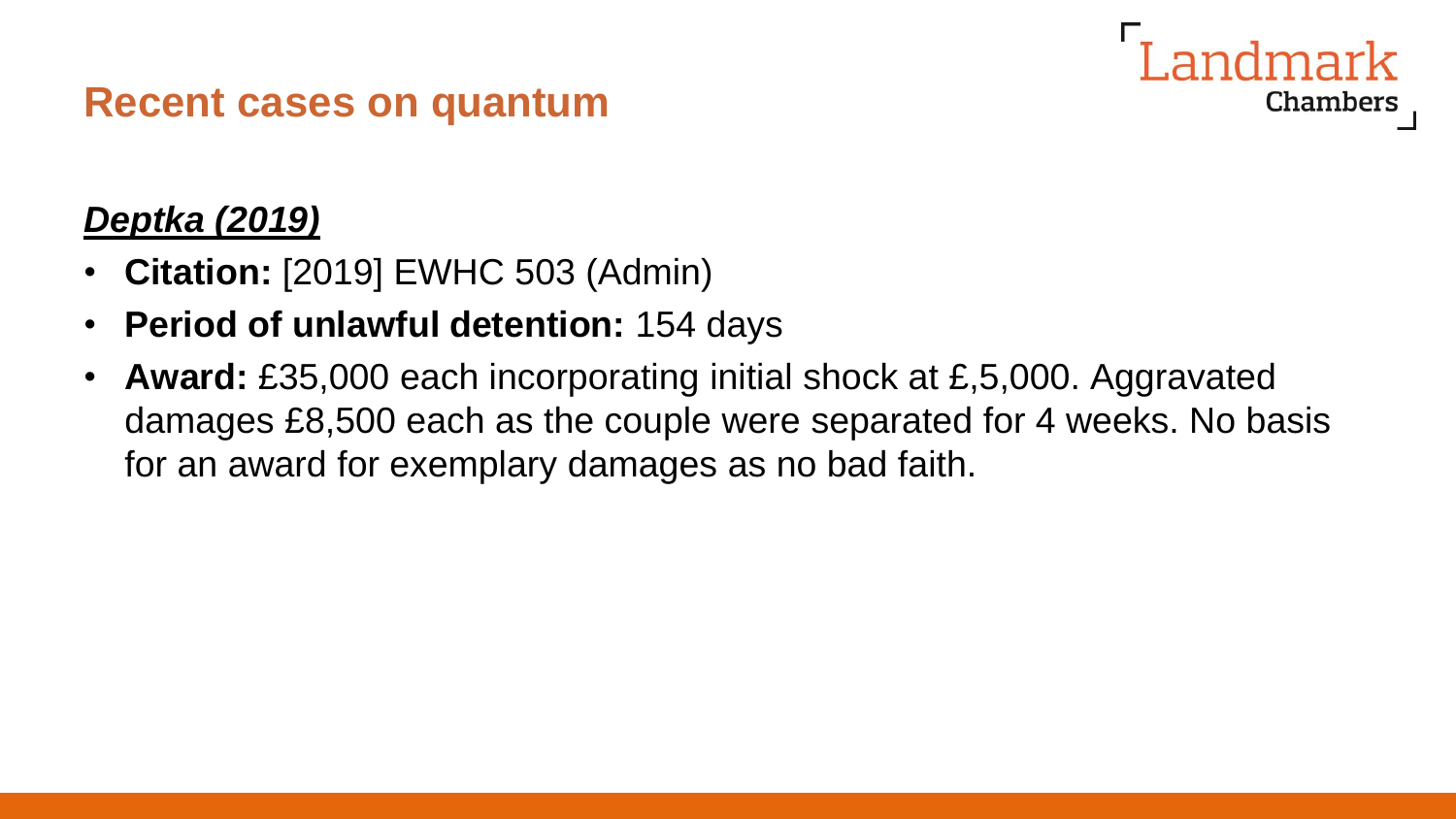## *Deptka (2019)*

- **Citation:** [2019] EWHC 503 (Admin)
- **Period of unlawful detention:** 154 days
- **Award:** £35,000 each incorporating initial shock at £,5,000. Aggravated damages £8,500 each as the couple were separated for 4 weeks. No basis for an award for exemplary damages as no bad faith.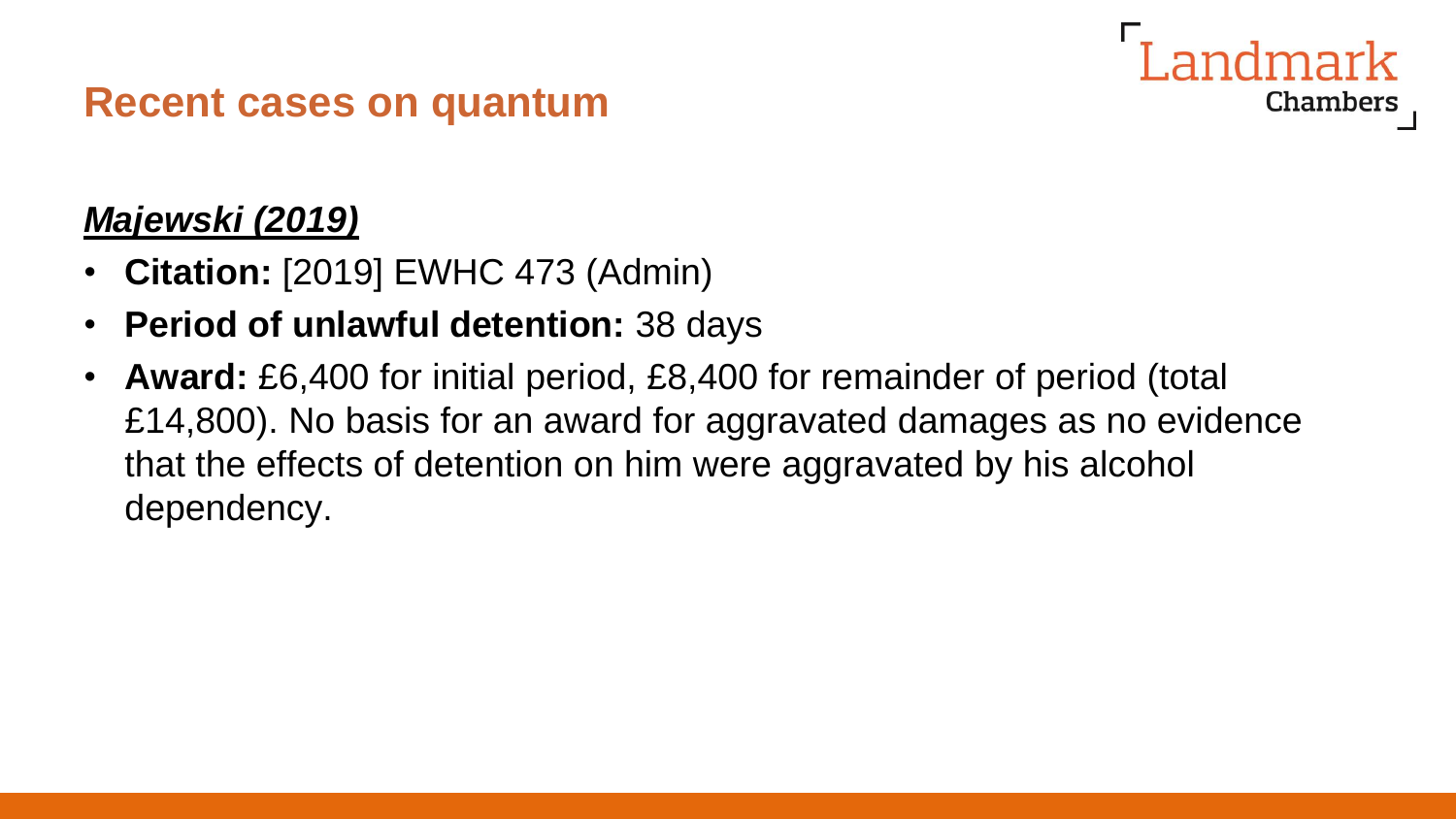## *Majewski (2019)*

- **Citation:** [2019] EWHC 473 (Admin)
- **Period of unlawful detention:** 38 days
- **Award:** £6,400 for initial period, £8,400 for remainder of period (total £14,800). No basis for an award for aggravated damages as no evidence that the effects of detention on him were aggravated by his alcohol dependency.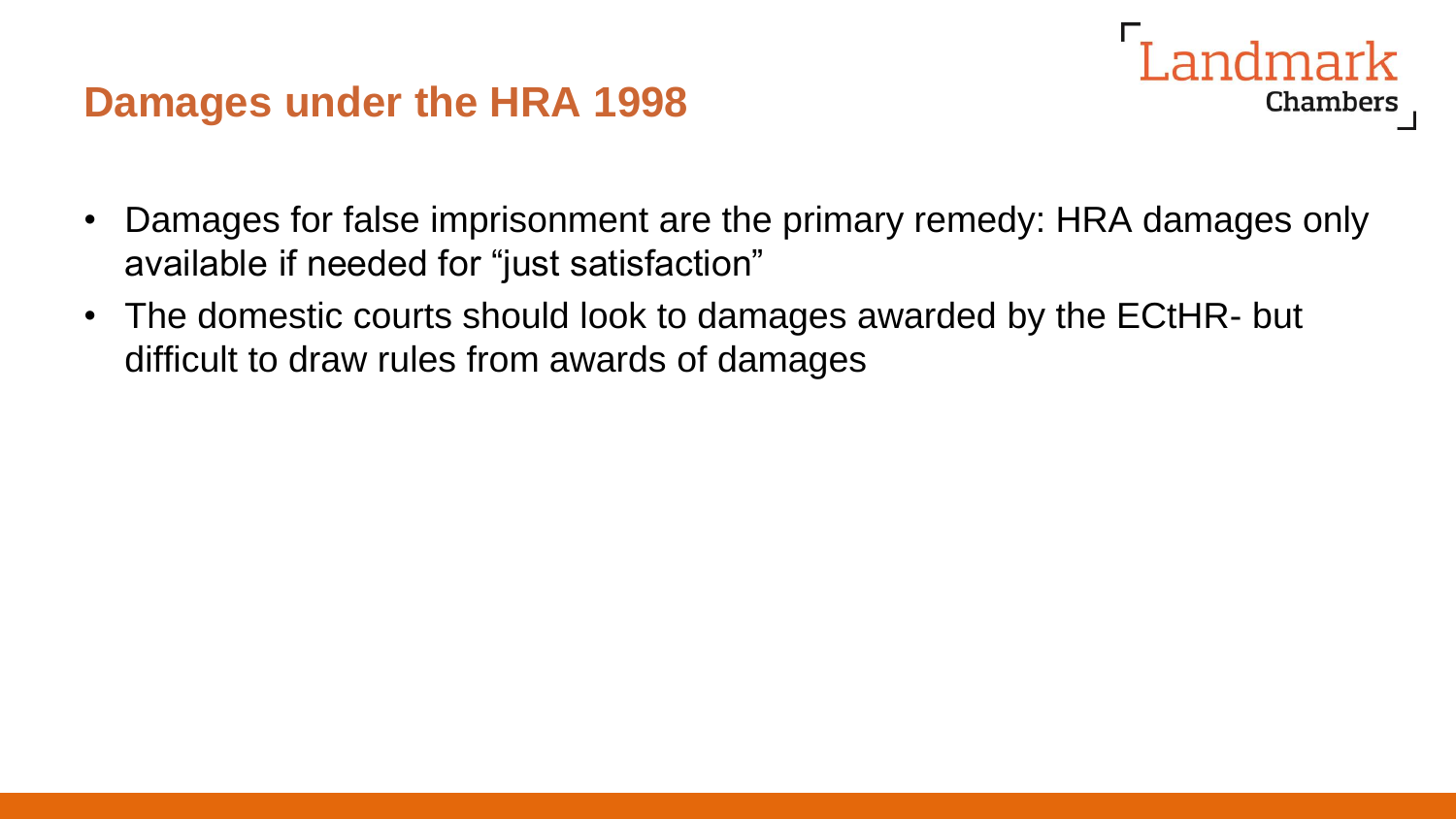#### **Damages under the HRA 1998**

• Damages for false imprisonment are the primary remedy: HRA damages only available if needed for "just satisfaction"

Landmark

Chambers

• The domestic courts should look to damages awarded by the ECtHR- but difficult to draw rules from awards of damages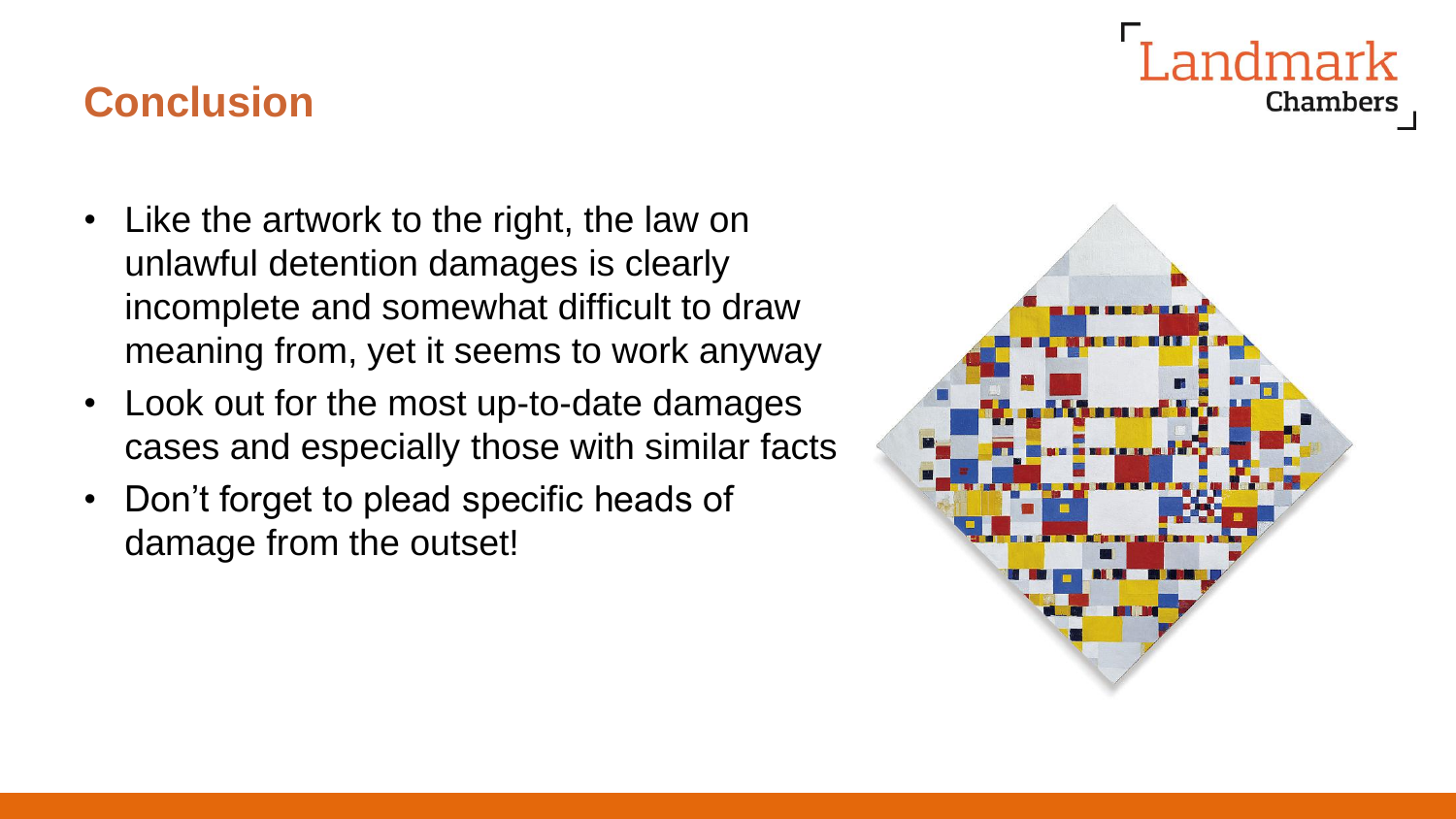## **Conclusion**

- Like the artwork to the right, the law on unlawful detention damages is clearly incomplete and somewhat difficult to draw meaning from, yet it seems to work anyway
- Look out for the most up-to-date damages cases and especially those with similar facts
- Don't forget to plead specific heads of damage from the outset!